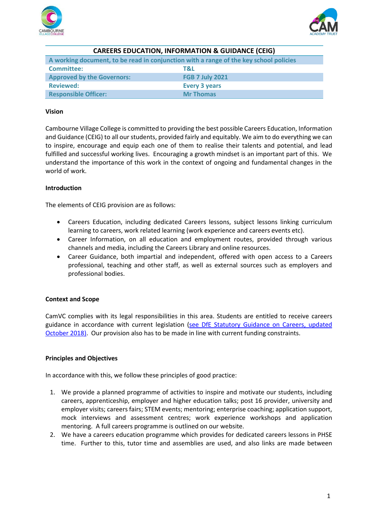



| <b>CAREERS EDUCATION, INFORMATION &amp; GUIDANCE (CEIG)</b>                           |                        |
|---------------------------------------------------------------------------------------|------------------------|
| A working document, to be read in conjunction with a range of the key school policies |                        |
| <b>Committee:</b>                                                                     | T&L                    |
| <b>Approved by the Governors:</b>                                                     | <b>FGB 7 July 2021</b> |
| <b>Reviewed:</b>                                                                      | <b>Every 3 years</b>   |
| <b>Responsible Officer:</b>                                                           | <b>Mr Thomas</b>       |

### **Vision**

Cambourne Village College is committed to providing the best possible Careers Education, Information and Guidance (CEIG) to all our students, provided fairly and equitably. We aim to do everything we can to inspire, encourage and equip each one of them to realise their talents and potential, and lead fulfilled and successful working lives. Encouraging a growth mindset is an important part of this. We understand the importance of this work in the context of ongoing and fundamental changes in the world of work.

#### **Introduction**

The elements of CEIG provision are as follows:

- Careers Education, including dedicated Careers lessons, subject lessons linking curriculum learning to careers, work related learning (work experience and careers events etc).
- Career Information, on all education and employment routes, provided through various channels and media, including the Careers Library and online resources.
- Career Guidance, both impartial and independent, offered with open access to a Careers professional, teaching and other staff, as well as external sources such as employers and professional bodies.

#### **Context and Scope**

CamVC complies with its legal responsibilities in this area. Students are entitled to receive careers guidance in accordance with current legislation [\(see DfE Statutory Guidance on Careers, updated](https://www.gov.uk/government/publications/careers-guidance-provision-for-young-people-in-schools)  [October 2018\).](https://www.gov.uk/government/publications/careers-guidance-provision-for-young-people-in-schools) Our provision also has to be made in line with current funding constraints.

#### **Principles and Objectives**

In accordance with this, we follow these principles of good practice:

- 1. We provide a planned programme of activities to inspire and motivate our students, including careers, apprenticeship, employer and higher education talks; post 16 provider, university and employer visits; careers fairs; STEM events; mentoring; enterprise coaching; application support, mock interviews and assessment centres; work experience workshops and application mentoring. A full careers programme is outlined on our website.
- 2. We have a careers education programme which provides for dedicated careers lessons in PHSE time. Further to this, tutor time and assemblies are used, and also links are made between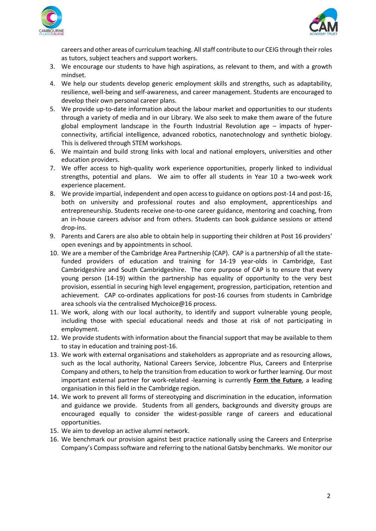



careers and other areas of curriculum teaching. All staff contribute to our CEIG through their roles as tutors, subject teachers and support workers.

- 3. We encourage our students to have high aspirations, as relevant to them, and with a growth mindset.
- 4. We help our students develop generic employment skills and strengths, such as adaptability, resilience, well-being and self-awareness, and career management. Students are encouraged to develop their own personal career plans.
- 5. We provide up-to-date information about the labour market and opportunities to our students through a variety of media and in our Library. We also seek to make them aware of the future global employment landscape in the Fourth Industrial Revolution age – impacts of hyperconnectivity, artificial intelligence, advanced robotics, nanotechnology and synthetic biology. This is delivered through STEM workshops.
- 6. We maintain and build strong links with local and national employers, universities and other education providers.
- 7. We offer access to high-quality work experience opportunities, properly linked to individual strengths, potential and plans. We aim to offer all students in Year 10 a two-week work experience placement.
- 8. We provide impartial, independent and open access to guidance on options post-14 and post-16, both on university and professional routes and also employment, apprenticeships and entrepreneurship. Students receive one-to-one career guidance, mentoring and coaching, from an in-house careers advisor and from others. Students can book guidance sessions or attend drop-ins.
- 9. Parents and Carers are also able to obtain help in supporting their children at Post 16 providers' open evenings and by appointments in school.
- 10. We are a member of the Cambridge Area Partnership (CAP). CAP is a partnership of all the statefunded providers of education and training for 14-19 year-olds in Cambridge, East Cambridgeshire and South Cambridgeshire. The core purpose of CAP is to ensure that every young person (14-19) within the partnership has equality of opportunity to the very best provision, essential in securing high level engagement, progression, participation, retention and achievement. CAP co-ordinates applications for post-16 courses from students in Cambridge area schools via the centralised Mychoice@16 process.
- 11. We work, along with our local authority, to identify and support vulnerable young people, including those with special educational needs and those at risk of not participating in employment.
- 12. We provide students with information about the financial support that may be available to them to stay in education and training post-16.
- 13. We work with external organisations and stakeholders as appropriate and as resourcing allows, such as the local authority, National Careers Service, Jobcentre Plus, Careers and Enterprise Company and others, to help the transition from education to work or further learning. Our most important external partner for work-related -learning is currently **Form the Future**, a leading organisation in this field in the Cambridge region.
- 14. We work to prevent all forms of stereotyping and discrimination in the education, information and guidance we provide. Students from all genders, backgrounds and diversity groups are encouraged equally to consider the widest-possible range of careers and educational opportunities.
- 15. We aim to develop an active alumni network.
- 16. We benchmark our provision against best practice nationally using the Careers and Enterprise Company's Compass software and referring to the national Gatsby benchmarks. We monitor our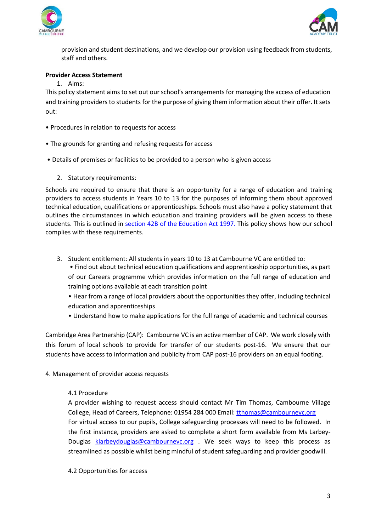



provision and student destinations, and we develop our provision using feedback from students, staff and others.

## **Provider Access Statement**

1. Aims:

This policy statement aims to set out our school's arrangements for managing the access of education and training providers to students for the purpose of giving them information about their offer. It sets out:

- Procedures in relation to requests for access
- The grounds for granting and refusing requests for access
- Details of premises or facilities to be provided to a person who is given access
	- 2. Statutory requirements:

Schools are required to ensure that there is an opportunity for a range of education and training providers to access students in Years 10 to 13 for the purposes of informing them about approved technical education, qualifications or apprenticeships. Schools must also have a policy statement that outlines the circumstances in which education and training providers will be given access to these students. This is outlined in [section 42B of the Education Act 1997.](https://www.legislation.gov.uk/ukpga/1997/44/section/42B) This policy shows how our school complies with these requirements.

3. Student entitlement: All students in years 10 to 13 at Cambourne VC are entitled to:

• Find out about technical education qualifications and apprenticeship opportunities, as part of our Careers programme which provides information on the full range of education and training options available at each transition point

- Hear from a range of local providers about the opportunities they offer, including technical education and apprenticeships
- Understand how to make applications for the full range of academic and technical courses

Cambridge Area Partnership (CAP): Cambourne VC is an active member of CAP. We work closely with this forum of local schools to provide for transfer of our students post-16. We ensure that our students have access to information and publicity from CAP post-16 providers on an equal footing.

4. Management of provider access requests

#### 4.1 Procedure

A provider wishing to request access should contact Mr Tim Thomas, Cambourne Village College, Head of Careers, Telephone: 01954 284 000 Email: [tthomas@cambournevc.org](mailto:tthomas@cambournevc.org) For virtual access to our pupils, College safeguarding processes will need to be followed. In the first instance, providers are asked to complete a short form available from Ms Larbey-Douglas [klarbeydouglas@cambournevc.org](mailto:klarbeydouglas@cambournevc.org) . We seek ways to keep this process as streamlined as possible whilst being mindful of student safeguarding and provider goodwill.

#### 4.2 Opportunities for access